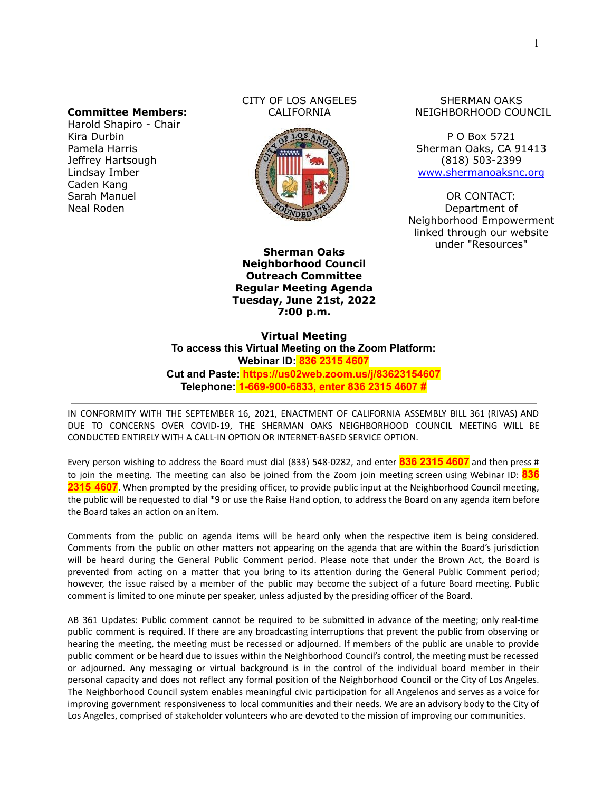#### **Committee Members:**

Harold Shapiro - Chair Kira Durbin Pamela Harris Jeffrey Hartsough Lindsay Imber Caden Kang Sarah Manuel Neal Roden

#### CITY OF LOS ANGELES CALIFORNIA



**Sherman Oaks Neighborhood Council Outreach Committee Regular Meeting Agenda Tuesday, June 21st, 2022 7:00 p.m.**

SHERMAN OAKS NEIGHBORHOOD COUNCIL

P O Box 5721 Sherman Oaks, CA 91413 (818) 503-2399 [www.shermanoaksnc.org](http://www.shermanoaksnc.org/)

OR CONTACT: Department of Neighborhood Empowerment linked through our website under "Resources"

**Virtual Meeting To access this Virtual Meeting on the Zoom Platform: Webinar ID: 836 2315 4607 Cut and Paste: https://us02web.zoom.us/j/83623154607 Telephone: 1-669-900-6833, enter 836 2315 4607 #**

IN CONFORMITY WITH THE SEPTEMBER 16, 2021, ENACTMENT OF CALIFORNIA ASSEMBLY BILL 361 (RIVAS) AND DUE TO CONCERNS OVER COVID-19, THE SHERMAN OAKS NEIGHBORHOOD COUNCIL MEETING WILL BE CONDUCTED ENTIRELY WITH A CALL-IN OPTION OR INTERNET-BASED SERVICE OPTION.

Every person wishing to address the Board must dial (833) 548-0282, and enter **836 2315 4607** and then press # to join the meeting. The meeting can also be joined from the Zoom join meeting screen using Webinar ID: **836 2315 4607**. When prompted by the presiding officer, to provide public input at the Neighborhood Council meeting, the public will be requested to dial \*9 or use the Raise Hand option, to address the Board on any agenda item before the Board takes an action on an item.

Comments from the public on agenda items will be heard only when the respective item is being considered. Comments from the public on other matters not appearing on the agenda that are within the Board's jurisdiction will be heard during the General Public Comment period. Please note that under the Brown Act, the Board is prevented from acting on a matter that you bring to its attention during the General Public Comment period; however, the issue raised by a member of the public may become the subject of a future Board meeting. Public comment is limited to one minute per speaker, unless adjusted by the presiding officer of the Board.

AB 361 Updates: Public comment cannot be required to be submitted in advance of the meeting; only real-time public comment is required. If there are any broadcasting interruptions that prevent the public from observing or hearing the meeting, the meeting must be recessed or adjourned. If members of the public are unable to provide public comment or be heard due to issues within the Neighborhood Council's control, the meeting must be recessed or adjourned. Any messaging or virtual background is in the control of the individual board member in their personal capacity and does not reflect any formal position of the Neighborhood Council or the City of Los Angeles. The Neighborhood Council system enables meaningful civic participation for all Angelenos and serves as a voice for improving government responsiveness to local communities and their needs. We are an advisory body to the City of Los Angeles, comprised of stakeholder volunteers who are devoted to the mission of improving our communities.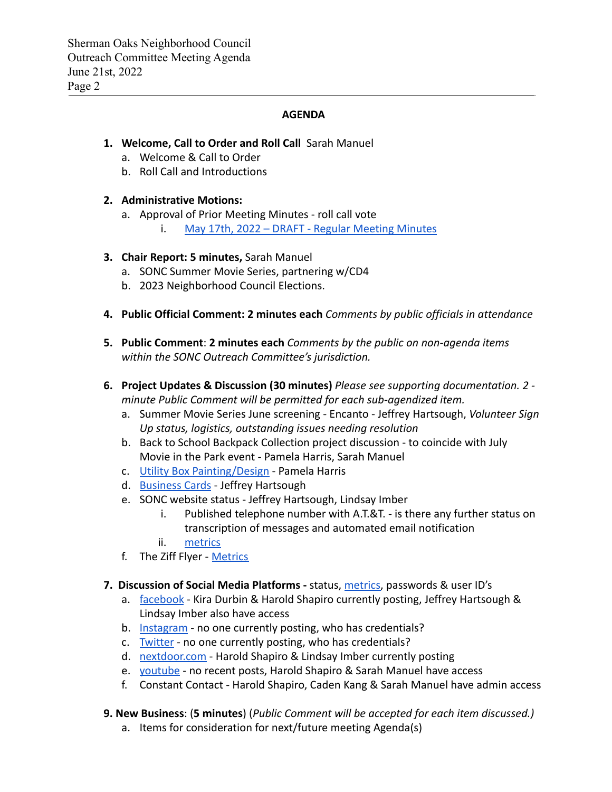### **AGENDA**

# **1. Welcome, Call to Order and Roll Call** Sarah Manuel

- a. Welcome & Call to Order
- b. Roll Call and Introductions

### **2. Administrative Motions:**

- a. Approval of Prior Meeting Minutes roll call vote
	- i. [May 17th, 2022 DRAFT Regular Meeting Minutes](https://www.shermanoaksnc.org/assets/documents/7/meeting62b045a2b8da6.pdf)

### **3. Chair Report: 5 minutes,** Sarah Manuel

- a. SONC Summer Movie Series, partnering w/CD4
- b. 2023 Neighborhood Council Elections.
- **4. Public Official Comment: 2 minutes each** *Comments by public officials in attendance*
- **5. Public Comment**: **2 minutes each** *Comments by the public on non-agenda items within the SONC Outreach Committee's jurisdiction.*
- **6. Project Updates & Discussion (30 minutes)** *Please see supporting documentation. 2 minute Public Comment will be permitted for each sub-agendized item.*
	- a. Summer Movie Series June screening Encanto Jeffrey Hartsough, *Volunteer Sign Up status, logistics, outstanding issues needing resolution*
	- b. Back to School Backpack Collection project discussion to coincide with July Movie in the Park event - Pamela Harris, Sarah Manuel
	- c. [Utility Box Painting/Design](https://www.shermanoaksnc.org/assets/documents/7/meeting62801f671caf9.pdf) Pamela Harris
	- d. [Business Cards](https://www.shermanoaksnc.org/assets/documents/7/meeting625513de87764.jpg) Jeffrey Hartsough
	- e. SONC website status Jeffrey Hartsough, Lindsay Imber
		- i. Published telephone number with A.T.&T. is there any further status on transcription of messages and automated email notification
		- ii. [metrics](https://www.shermanoaksnc.org/assets/documents/7/meeting62b16cc695e01.pdf)
	- f. The Ziff Flyer [Metrics](https://www.shermanoaksnc.org/assets/documents/7/meeting62b16cc695e01.pdf)
- **7. Discussion of Social Media Platforms -** status, [metrics,](https://www.shermanoaksnc.org/assets/documents/7/meeting62b16cc695e01.pdf) passwords & user ID's
	- a. [facebook](https://www.facebook.com/ShermanOaksNC/) Kira Durbin & Harold Shapiro currently posting, Jeffrey Hartsough & Lindsay Imber also have access
	- b. [Instagram](https://www.instagram.com/shermanoaksnc/?hl=en) no one currently posting, who has credentials?
	- c. [Twitter](https://twitter.com/so_nc_?lang=en) no one currently posting, who has credentials?
	- d. [nextdoor.com](https://nextdoor.com/agency/empowerla/?i=rrpkjgzhfbkljbjphjgs) Harold Shapiro & Lindsay Imber currently posting
	- e. [youtube](https://www.youtube.com/channel/UCXTlDVq_eJdzF1RTiZlBJAQ/videos) no recent posts, Harold Shapiro & Sarah Manuel have access
	- f. Constant Contact Harold Shapiro, Caden Kang & Sarah Manuel have admin access

### **9. New Business**: (**5 minutes**) (*Public Comment will be accepted for each item discussed.)*

a. Items for consideration for next/future meeting Agenda(s)